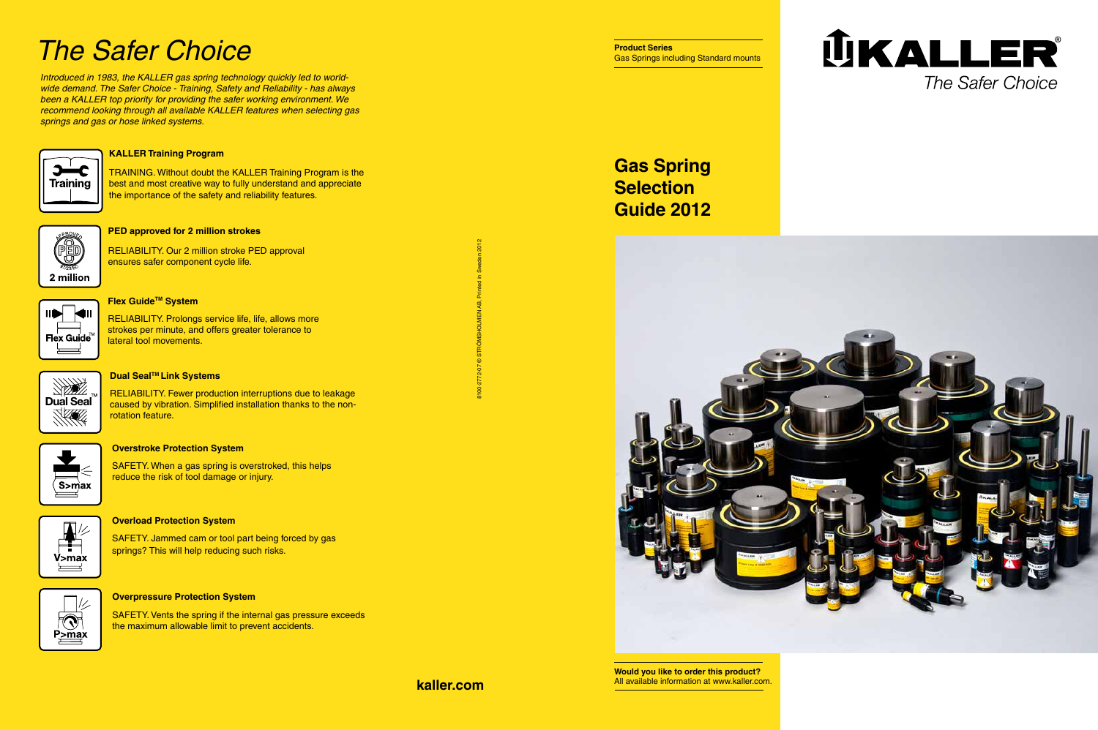**kaller.com**

## *The Safer Choice*



#### **Dual Seal™ Link Systems**

#### **Overstroke Protection System**

SAFETY. When a gas spring is overstroked, this helps reduce the risk of tool damage or injury.



SAFETY. Jammed cam or tool part being forced by gas springs? This will help reducing such risks.



#### **PED approved for 2 million strokes**

RELIABILITY. Our 2 million stroke PED approval ensures safer component cycle life.



#### **Flex Guide<sup>™</sup> System**

#### **Overload Protection System**

RELIABILITY. Prolongs service life, life, allows more strokes per minute, and offers greater tolerance to lateral tool movements.

#### **Overpressure Protection System**

SAFETY. Vents the spring if the internal gas pressure exceeds the maximum allowable limit to prevent accidents.

RELIABILITY. Fewer production interruptions due to leakage caused by vibration. Simplified installation thanks to the nonrotation feature.



#### **KALLER Training Program**

TRAINING. Without doubt the KALLER Training Program is the best and most creative way to fully understand and appreciate the importance of the safety and reliability features.



*Introduced in 1983, the KALLER gas spring technology quickly led to worldwide demand. The Safer Choice - Training, Safety and Reliability - has always been a KALLER top priority for providing the safer working environment. We recommend looking through all available KALLER features when selecting gas springs and gas or hose linked systems.*



### **Gas Spring Selection Guide 2012**



8100-2772-07 © STRÖMSHOLMEN AB, Printed in Sweden 2012



**Would you like to order this product?** All available information at www.kaller.com.